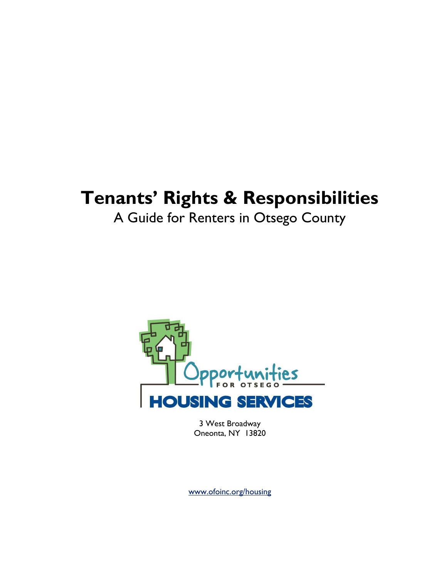# Tenants' Rights & Responsibilities

A Guide for Renters in Otsego County



3 West Broadway Oneonta, NY 13820

www.ofoinc.org/housing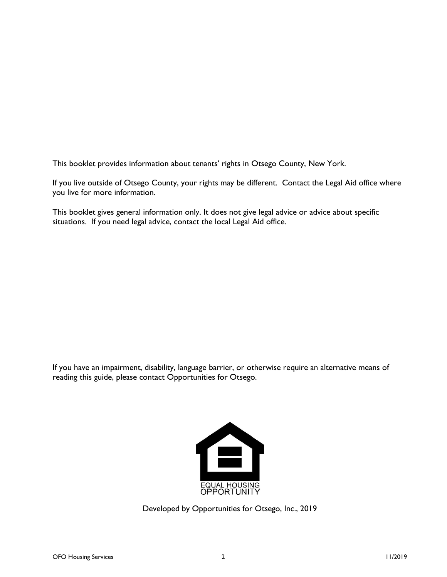This booklet provides information about tenants' rights in Otsego County, New York.

If you live outside of Otsego County, your rights may be different. Contact the Legal Aid office where you live for more information.

This booklet gives general information only. It does not give legal advice or advice about specific situations. If you need legal advice, contact the local Legal Aid office.

If you have an impairment, disability, language barrier, or otherwise require an alternative means of reading this guide, please contact Opportunities for Otsego.



Developed by Opportunities for Otsego, Inc., 2019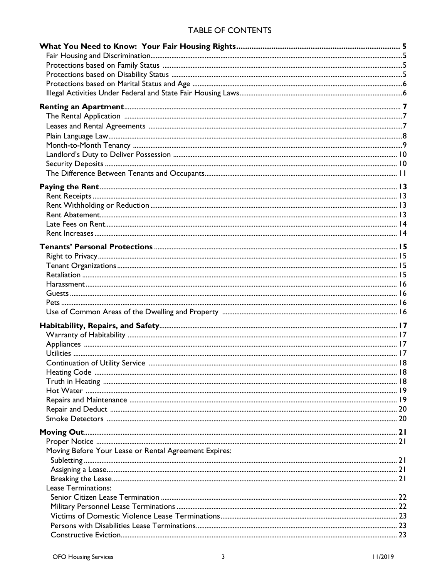## TABLE OF CONTENTS

| Moving Before Your Lease or Rental Agreement Expires: |  |
|-------------------------------------------------------|--|
|                                                       |  |
|                                                       |  |
|                                                       |  |
| <b>Lease Terminations:</b>                            |  |
|                                                       |  |
|                                                       |  |
|                                                       |  |
|                                                       |  |
|                                                       |  |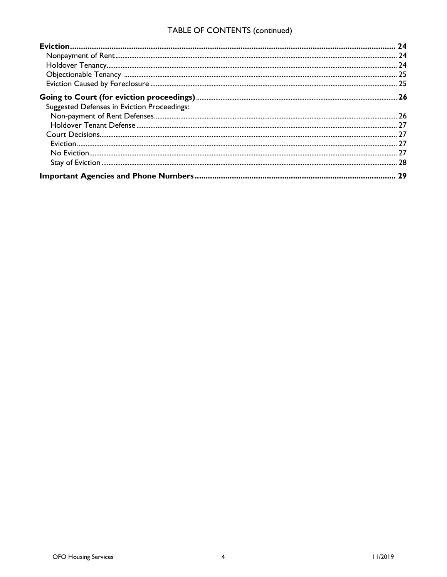# TABLE OF CONTENTS (continued)

| Suggested Defenses in Eviction Proceedings: |  |
|---------------------------------------------|--|
|                                             |  |
|                                             |  |
|                                             |  |
|                                             |  |
|                                             |  |
|                                             |  |
|                                             |  |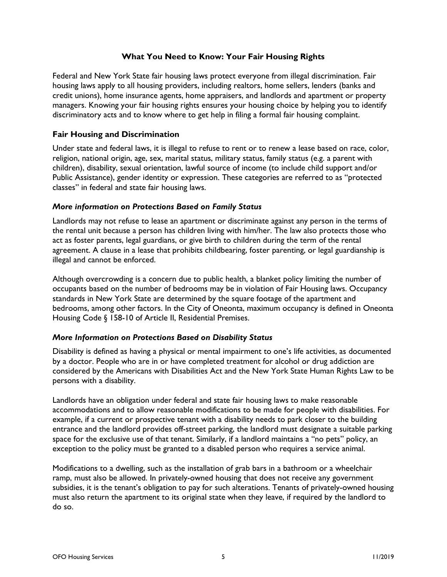## What You Need to Know: Your Fair Housing Rights

Federal and New York State fair housing laws protect everyone from illegal discrimination. Fair housing laws apply to all housing providers, including realtors, home sellers, lenders (banks and credit unions), home insurance agents, home appraisers, and landlords and apartment or property managers. Knowing your fair housing rights ensures your housing choice by helping you to identify discriminatory acts and to know where to get help in filing a formal fair housing complaint.

## Fair Housing and Discrimination

Under state and federal laws, it is illegal to refuse to rent or to renew a lease based on race, color, religion, national origin, age, sex, marital status, military status, family status (e.g. a parent with children), disability, sexual orientation, lawful source of income (to include child support and/or Public Assistance), gender identity or expression. These categories are referred to as "protected classes" in federal and state fair housing laws.

## More information on Protections Based on Family Status

Landlords may not refuse to lease an apartment or discriminate against any person in the terms of the rental unit because a person has children living with him/her. The law also protects those who act as foster parents, legal guardians, or give birth to children during the term of the rental agreement. A clause in a lease that prohibits childbearing, foster parenting, or legal guardianship is illegal and cannot be enforced.

Although overcrowding is a concern due to public health, a blanket policy limiting the number of occupants based on the number of bedrooms may be in violation of Fair Housing laws. Occupancy standards in New York State are determined by the square footage of the apartment and bedrooms, among other factors. In the City of Oneonta, maximum occupancy is defined in Oneonta Housing Code § 158-10 of Article II, Residential Premises.

## More Information on Protections Based on Disability Status

Disability is defined as having a physical or mental impairment to one's life activities, as documented by a doctor. People who are in or have completed treatment for alcohol or drug addiction are considered by the Americans with Disabilities Act and the New York State Human Rights Law to be persons with a disability.

Landlords have an obligation under federal and state fair housing laws to make reasonable accommodations and to allow reasonable modifications to be made for people with disabilities. For example, if a current or prospective tenant with a disability needs to park closer to the building entrance and the landlord provides off-street parking, the landlord must designate a suitable parking space for the exclusive use of that tenant. Similarly, if a landlord maintains a "no pets" policy, an exception to the policy must be granted to a disabled person who requires a service animal.

Modifications to a dwelling, such as the installation of grab bars in a bathroom or a wheelchair ramp, must also be allowed. In privately-owned housing that does not receive any government subsidies, it is the tenant's obligation to pay for such alterations. Tenants of privately-owned housing must also return the apartment to its original state when they leave, if required by the landlord to do so.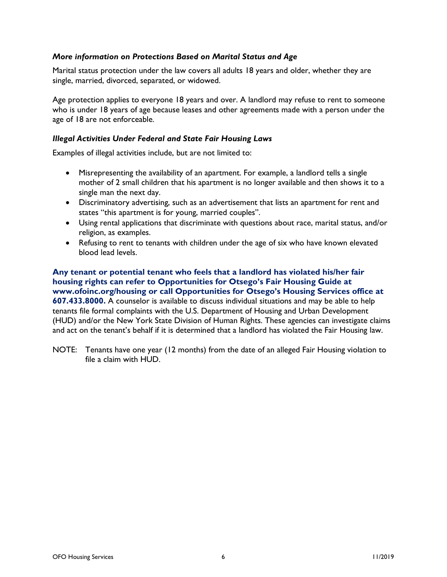## More information on Protections Based on Marital Status and Age

Marital status protection under the law covers all adults 18 years and older, whether they are single, married, divorced, separated, or widowed.

Age protection applies to everyone 18 years and over. A landlord may refuse to rent to someone who is under 18 years of age because leases and other agreements made with a person under the age of 18 are not enforceable.

#### Illegal Activities Under Federal and State Fair Housing Laws

Examples of illegal activities include, but are not limited to:

- Misrepresenting the availability of an apartment. For example, a landlord tells a single mother of 2 small children that his apartment is no longer available and then shows it to a single man the next day.
- Discriminatory advertising, such as an advertisement that lists an apartment for rent and states "this apartment is for young, married couples".
- Using rental applications that discriminate with questions about race, marital status, and/or religion, as examples.
- Refusing to rent to tenants with children under the age of six who have known elevated blood lead levels.

Any tenant or potential tenant who feels that a landlord has violated his/her fair housing rights can refer to Opportunities for Otsego's Fair Housing Guide at www.ofoinc.org/housing or call Opportunities for Otsego's Housing Services office at 607.433.8000. A counselor is available to discuss individual situations and may be able to help tenants file formal complaints with the U.S. Department of Housing and Urban Development (HUD) and/or the New York State Division of Human Rights. These agencies can investigate claims and act on the tenant's behalf if it is determined that a landlord has violated the Fair Housing law.

NOTE: Tenants have one year (12 months) from the date of an alleged Fair Housing violation to file a claim with HUD.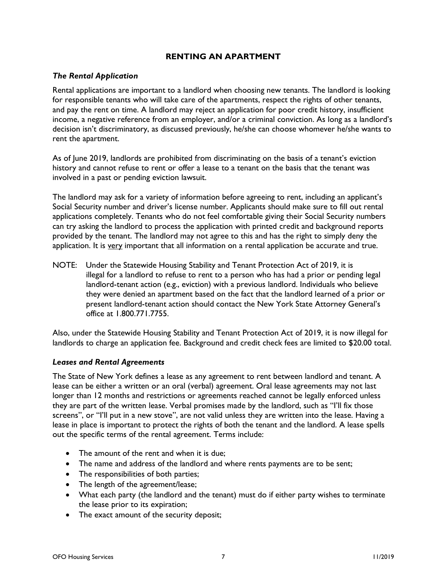## RENTING AN APARTMENT

## The Rental Application

Rental applications are important to a landlord when choosing new tenants. The landlord is looking for responsible tenants who will take care of the apartments, respect the rights of other tenants, and pay the rent on time. A landlord may reject an application for poor credit history, insufficient income, a negative reference from an employer, and/or a criminal conviction. As long as a landlord's decision isn't discriminatory, as discussed previously, he/she can choose whomever he/she wants to rent the apartment.

As of June 2019, landlords are prohibited from discriminating on the basis of a tenant's eviction history and cannot refuse to rent or offer a lease to a tenant on the basis that the tenant was involved in a past or pending eviction lawsuit.

The landlord may ask for a variety of information before agreeing to rent, including an applicant's Social Security number and driver's license number. Applicants should make sure to fill out rental applications completely. Tenants who do not feel comfortable giving their Social Security numbers can try asking the landlord to process the application with printed credit and background reports provided by the tenant. The landlord may not agree to this and has the right to simply deny the application. It is very important that all information on a rental application be accurate and true.

NOTE: Under the Statewide Housing Stability and Tenant Protection Act of 2019, it is illegal for a landlord to refuse to rent to a person who has had a prior or pending legal landlord-tenant action (e.g., eviction) with a previous landlord. Individuals who believe they were denied an apartment based on the fact that the landlord learned of a prior or present landlord-tenant action should contact the New York State Attorney General's office at 1.800.771.7755.

Also, under the Statewide Housing Stability and Tenant Protection Act of 2019, it is now illegal for landlords to charge an application fee. Background and credit check fees are limited to \$20.00 total.

#### Leases and Rental Agreements

The State of New York defines a lease as any agreement to rent between landlord and tenant. A lease can be either a written or an oral (verbal) agreement. Oral lease agreements may not last longer than 12 months and restrictions or agreements reached cannot be legally enforced unless they are part of the written lease. Verbal promises made by the landlord, such as "I'll fix those screens", or "I'll put in a new stove", are not valid unless they are written into the lease. Having a lease in place is important to protect the rights of both the tenant and the landlord. A lease spells out the specific terms of the rental agreement. Terms include:

- The amount of the rent and when it is due;
- The name and address of the landlord and where rents payments are to be sent;
- The responsibilities of both parties;
- The length of the agreement/lease;
- What each party (the landlord and the tenant) must do if either party wishes to terminate the lease prior to its expiration;
- The exact amount of the security deposit;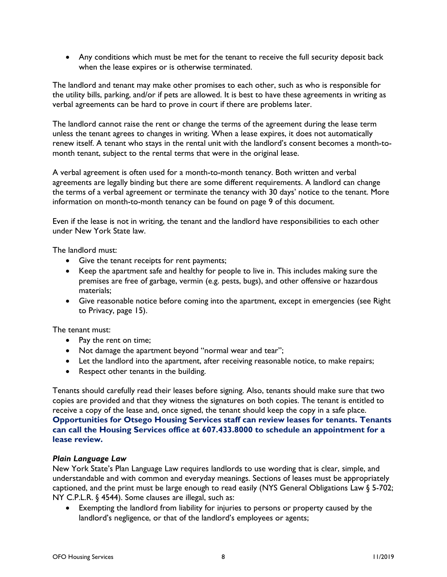Any conditions which must be met for the tenant to receive the full security deposit back when the lease expires or is otherwise terminated.

The landlord and tenant may make other promises to each other, such as who is responsible for the utility bills, parking, and/or if pets are allowed. It is best to have these agreements in writing as verbal agreements can be hard to prove in court if there are problems later.

The landlord cannot raise the rent or change the terms of the agreement during the lease term unless the tenant agrees to changes in writing. When a lease expires, it does not automatically renew itself. A tenant who stays in the rental unit with the landlord's consent becomes a month-tomonth tenant, subject to the rental terms that were in the original lease.

A verbal agreement is often used for a month-to-month tenancy. Both written and verbal agreements are legally binding but there are some different requirements. A landlord can change the terms of a verbal agreement or terminate the tenancy with 30 days' notice to the tenant. More information on month-to-month tenancy can be found on page 9 of this document.

Even if the lease is not in writing, the tenant and the landlord have responsibilities to each other under New York State law.

The landlord must:

- Give the tenant receipts for rent payments;
- Keep the apartment safe and healthy for people to live in. This includes making sure the premises are free of garbage, vermin (e.g. pests, bugs), and other offensive or hazardous materials;
- Give reasonable notice before coming into the apartment, except in emergencies (see Right to Privacy, page 15).

The tenant must:

- Pay the rent on time;
- Not damage the apartment beyond "normal wear and tear";
- Let the landlord into the apartment, after receiving reasonable notice, to make repairs;
- Respect other tenants in the building.

Tenants should carefully read their leases before signing. Also, tenants should make sure that two copies are provided and that they witness the signatures on both copies. The tenant is entitled to receive a copy of the lease and, once signed, the tenant should keep the copy in a safe place. Opportunities for Otsego Housing Services staff can review leases for tenants. Tenants can call the Housing Services office at 607.433.8000 to schedule an appointment for a lease review.

#### Plain Language Law

New York State's Plan Language Law requires landlords to use wording that is clear, simple, and understandable and with common and everyday meanings. Sections of leases must be appropriately captioned, and the print must be large enough to read easily (NYS General Obligations Law § 5-702; NY C.P.L.R. § 4544). Some clauses are illegal, such as:

 Exempting the landlord from liability for injuries to persons or property caused by the landlord's negligence, or that of the landlord's employees or agents;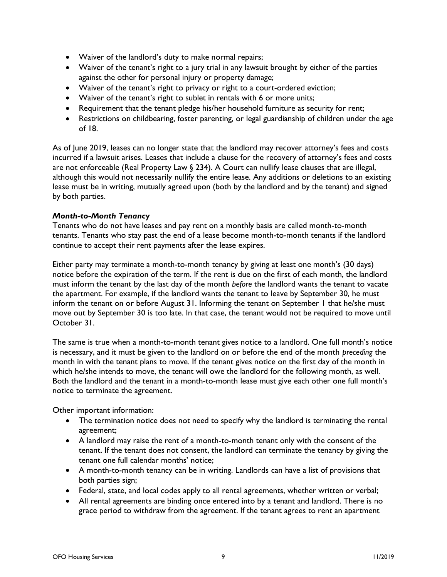- Waiver of the landlord's duty to make normal repairs;
- Waiver of the tenant's right to a jury trial in any lawsuit brought by either of the parties against the other for personal injury or property damage;
- Waiver of the tenant's right to privacy or right to a court-ordered eviction;
- Waiver of the tenant's right to sublet in rentals with 6 or more units;
- Requirement that the tenant pledge his/her household furniture as security for rent;
- Restrictions on childbearing, foster parenting, or legal guardianship of children under the age of 18.

As of June 2019, leases can no longer state that the landlord may recover attorney's fees and costs incurred if a lawsuit arises. Leases that include a clause for the recovery of attorney's fees and costs are not enforceable (Real Property Law  $\S$  234). A Court can nullify lease clauses that are illegal, although this would not necessarily nullify the entire lease. Any additions or deletions to an existing lease must be in writing, mutually agreed upon (both by the landlord and by the tenant) and signed by both parties.

## Month-to-Month Tenancy

Tenants who do not have leases and pay rent on a monthly basis are called month-to-month tenants. Tenants who stay past the end of a lease become month-to-month tenants if the landlord continue to accept their rent payments after the lease expires.

Either party may terminate a month-to-month tenancy by giving at least one month's (30 days) notice before the expiration of the term. If the rent is due on the first of each month, the landlord must inform the tenant by the last day of the month before the landlord wants the tenant to vacate the apartment. For example, if the landlord wants the tenant to leave by September 30, he must inform the tenant on or before August 31. Informing the tenant on September 1 that he/she must move out by September 30 is too late. In that case, the tenant would not be required to move until October 31.

The same is true when a month-to-month tenant gives notice to a landlord. One full month's notice is necessary, and it must be given to the landlord on or before the end of the month preceding the month in with the tenant plans to move. If the tenant gives notice on the first day of the month in which he/she intends to move, the tenant will owe the landlord for the following month, as well. Both the landlord and the tenant in a month-to-month lease must give each other one full month's notice to terminate the agreement.

Other important information:

- The termination notice does not need to specify why the landlord is terminating the rental agreement;
- A landlord may raise the rent of a month-to-month tenant only with the consent of the tenant. If the tenant does not consent, the landlord can terminate the tenancy by giving the tenant one full calendar months' notice;
- A month-to-month tenancy can be in writing. Landlords can have a list of provisions that both parties sign;
- Federal, state, and local codes apply to all rental agreements, whether written or verbal;
- All rental agreements are binding once entered into by a tenant and landlord. There is no grace period to withdraw from the agreement. If the tenant agrees to rent an apartment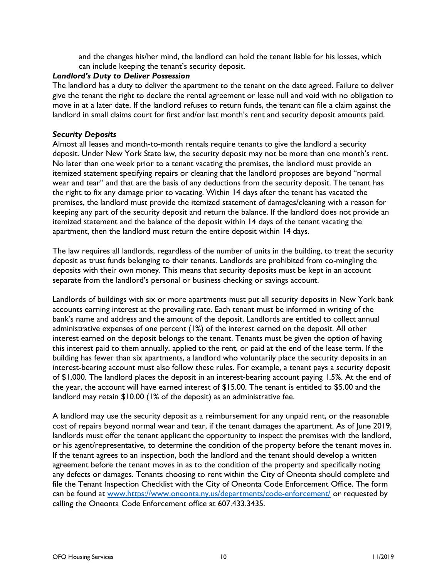and the changes his/her mind, the landlord can hold the tenant liable for his losses, which can include keeping the tenant's security deposit.

## Landlord's Duty to Deliver Possession

The landlord has a duty to deliver the apartment to the tenant on the date agreed. Failure to deliver give the tenant the right to declare the rental agreement or lease null and void with no obligation to move in at a later date. If the landlord refuses to return funds, the tenant can file a claim against the landlord in small claims court for first and/or last month's rent and security deposit amounts paid.

## Security Deposits

Almost all leases and month-to-month rentals require tenants to give the landlord a security deposit. Under New York State law, the security deposit may not be more than one month's rent. No later than one week prior to a tenant vacating the premises, the landlord must provide an itemized statement specifying repairs or cleaning that the landlord proposes are beyond "normal wear and tear" and that are the basis of any deductions from the security deposit. The tenant has the right to fix any damage prior to vacating. Within 14 days after the tenant has vacated the premises, the landlord must provide the itemized statement of damages/cleaning with a reason for keeping any part of the security deposit and return the balance. If the landlord does not provide an itemized statement and the balance of the deposit within 14 days of the tenant vacating the apartment, then the landlord must return the entire deposit within 14 days.

The law requires all landlords, regardless of the number of units in the building, to treat the security deposit as trust funds belonging to their tenants. Landlords are prohibited from co-mingling the deposits with their own money. This means that security deposits must be kept in an account separate from the landlord's personal or business checking or savings account.

Landlords of buildings with six or more apartments must put all security deposits in New York bank accounts earning interest at the prevailing rate. Each tenant must be informed in writing of the bank's name and address and the amount of the deposit. Landlords are entitled to collect annual administrative expenses of one percent (1%) of the interest earned on the deposit. All other interest earned on the deposit belongs to the tenant. Tenants must be given the option of having this interest paid to them annually, applied to the rent, or paid at the end of the lease term. If the building has fewer than six apartments, a landlord who voluntarily place the security deposits in an interest-bearing account must also follow these rules. For example, a tenant pays a security deposit of \$1,000. The landlord places the deposit in an interest-bearing account paying 1.5%. At the end of the year, the account will have earned interest of \$15.00. The tenant is entitled to \$5.00 and the landlord may retain \$10.00 (1% of the deposit) as an administrative fee.

A landlord may use the security deposit as a reimbursement for any unpaid rent, or the reasonable cost of repairs beyond normal wear and tear, if the tenant damages the apartment. As of June 2019, landlords must offer the tenant applicant the opportunity to inspect the premises with the landlord, or his agent/representative, to determine the condition of the property before the tenant moves in. If the tenant agrees to an inspection, both the landlord and the tenant should develop a written agreement before the tenant moves in as to the condition of the property and specifically noting any defects or damages. Tenants choosing to rent within the City of Oneonta should complete and file the Tenant Inspection Checklist with the City of Oneonta Code Enforcement Office. The form can be found at www.https://www.oneonta.ny.us/departments/code-enforcement/ or requested by calling the Oneonta Code Enforcement office at 607.433.3435.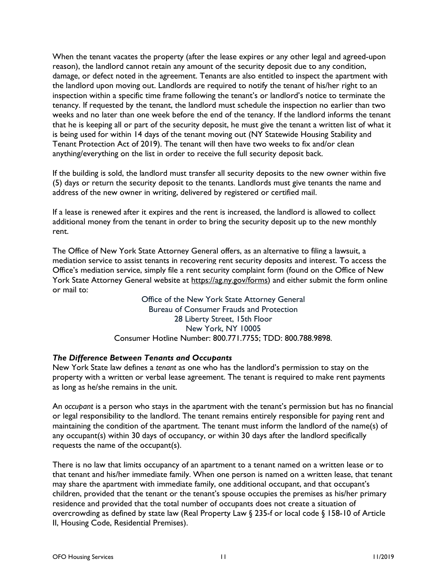When the tenant vacates the property (after the lease expires or any other legal and agreed-upon reason), the landlord cannot retain any amount of the security deposit due to any condition, damage, or defect noted in the agreement. Tenants are also entitled to inspect the apartment with the landlord upon moving out. Landlords are required to notify the tenant of his/her right to an inspection within a specific time frame following the tenant's or landlord's notice to terminate the tenancy. If requested by the tenant, the landlord must schedule the inspection no earlier than two weeks and no later than one week before the end of the tenancy. If the landlord informs the tenant that he is keeping all or part of the security deposit, he must give the tenant a written list of what it is being used for within 14 days of the tenant moving out (NY Statewide Housing Stability and Tenant Protection Act of 2019). The tenant will then have two weeks to fix and/or clean anything/everything on the list in order to receive the full security deposit back.

If the building is sold, the landlord must transfer all security deposits to the new owner within five (5) days or return the security deposit to the tenants. Landlords must give tenants the name and address of the new owner in writing, delivered by registered or certified mail.

If a lease is renewed after it expires and the rent is increased, the landlord is allowed to collect additional money from the tenant in order to bring the security deposit up to the new monthly rent.

The Office of New York State Attorney General offers, as an alternative to filing a lawsuit, a mediation service to assist tenants in recovering rent security deposits and interest. To access the Office's mediation service, simply file a rent security complaint form (found on the Office of New York State Attorney General website at https://ag.ny.gov/forms) and either submit the form online or mail to:

> Office of the New York State Attorney General Bureau of Consumer Frauds and Protection 28 Liberty Street, 15th Floor New York, NY 10005 Consumer Hotline Number: 800.771.7755; TDD: 800.788.9898.

## The Difference Between Tenants and Occupants

New York State law defines a tenant as one who has the landlord's permission to stay on the property with a written or verbal lease agreement. The tenant is required to make rent payments as long as he/she remains in the unit.

An occupant is a person who stays in the apartment with the tenant's permission but has no financial or legal responsibility to the landlord. The tenant remains entirely responsible for paying rent and maintaining the condition of the apartment. The tenant must inform the landlord of the name(s) of any occupant(s) within 30 days of occupancy, or within 30 days after the landlord specifically requests the name of the occupant(s).

There is no law that limits occupancy of an apartment to a tenant named on a written lease or to that tenant and his/her immediate family. When one person is named on a written lease, that tenant may share the apartment with immediate family, one additional occupant, and that occupant's children, provided that the tenant or the tenant's spouse occupies the premises as his/her primary residence and provided that the total number of occupants does not create a situation of overcrowding as defined by state law (Real Property Law § 235-f or local code § 158-10 of Article II, Housing Code, Residential Premises).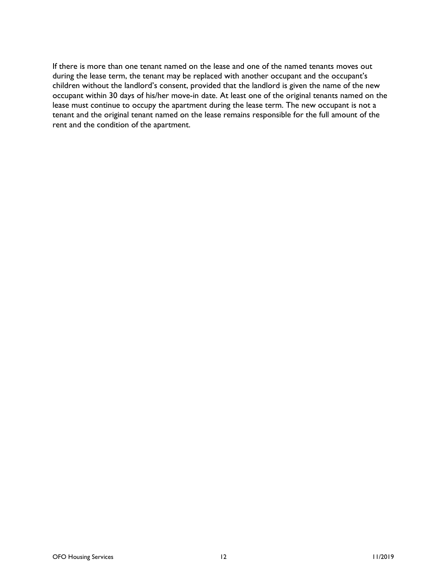If there is more than one tenant named on the lease and one of the named tenants moves out during the lease term, the tenant may be replaced with another occupant and the occupant's children without the landlord's consent, provided that the landlord is given the name of the new occupant within 30 days of his/her move-in date. At least one of the original tenants named on the lease must continue to occupy the apartment during the lease term. The new occupant is not a tenant and the original tenant named on the lease remains responsible for the full amount of the rent and the condition of the apartment.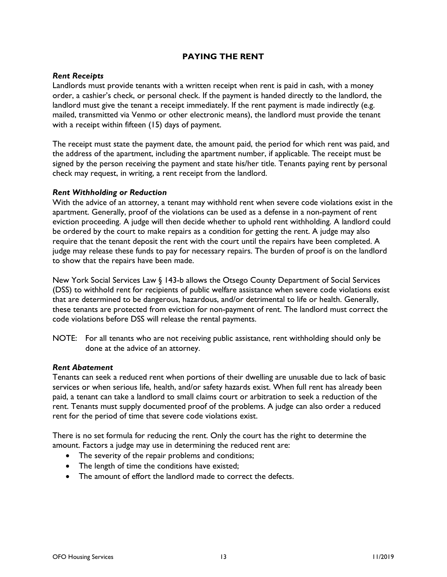## PAYING THE RENT

#### Rent Receipts

Landlords must provide tenants with a written receipt when rent is paid in cash, with a money order, a cashier's check, or personal check. If the payment is handed directly to the landlord, the landlord must give the tenant a receipt immediately. If the rent payment is made indirectly (e.g. mailed, transmitted via Venmo or other electronic means), the landlord must provide the tenant with a receipt within fifteen (15) days of payment.

The receipt must state the payment date, the amount paid, the period for which rent was paid, and the address of the apartment, including the apartment number, if applicable. The receipt must be signed by the person receiving the payment and state his/her title. Tenants paying rent by personal check may request, in writing, a rent receipt from the landlord.

#### Rent Withholding or Reduction

With the advice of an attorney, a tenant may withhold rent when severe code violations exist in the apartment. Generally, proof of the violations can be used as a defense in a non-payment of rent eviction proceeding. A judge will then decide whether to uphold rent withholding. A landlord could be ordered by the court to make repairs as a condition for getting the rent. A judge may also require that the tenant deposit the rent with the court until the repairs have been completed. A judge may release these funds to pay for necessary repairs. The burden of proof is on the landlord to show that the repairs have been made.

New York Social Services Law § 143-b allows the Otsego County Department of Social Services (DSS) to withhold rent for recipients of public welfare assistance when severe code violations exist that are determined to be dangerous, hazardous, and/or detrimental to life or health. Generally, these tenants are protected from eviction for non-payment of rent. The landlord must correct the code violations before DSS will release the rental payments.

NOTE: For all tenants who are not receiving public assistance, rent withholding should only be done at the advice of an attorney.

#### Rent Abatement

Tenants can seek a reduced rent when portions of their dwelling are unusable due to lack of basic services or when serious life, health, and/or safety hazards exist. When full rent has already been paid, a tenant can take a landlord to small claims court or arbitration to seek a reduction of the rent. Tenants must supply documented proof of the problems. A judge can also order a reduced rent for the period of time that severe code violations exist.

There is no set formula for reducing the rent. Only the court has the right to determine the amount. Factors a judge may use in determining the reduced rent are:

- The severity of the repair problems and conditions;
- The length of time the conditions have existed;
- The amount of effort the landlord made to correct the defects.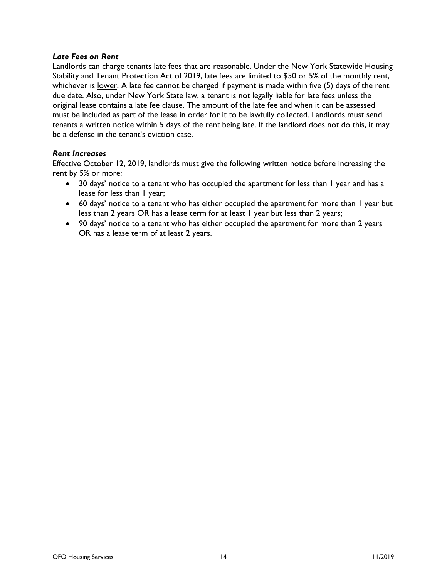#### Late Fees on Rent

Landlords can charge tenants late fees that are reasonable. Under the New York Statewide Housing Stability and Tenant Protection Act of 2019, late fees are limited to \$50 or 5% of the monthly rent, whichever is lower. A late fee cannot be charged if payment is made within five (5) days of the rent due date. Also, under New York State law, a tenant is not legally liable for late fees unless the original lease contains a late fee clause. The amount of the late fee and when it can be assessed must be included as part of the lease in order for it to be lawfully collected. Landlords must send tenants a written notice within 5 days of the rent being late. If the landlord does not do this, it may be a defense in the tenant's eviction case.

#### Rent Increases

Effective October 12, 2019, landlords must give the following written notice before increasing the rent by 5% or more:

- 30 days' notice to a tenant who has occupied the apartment for less than 1 year and has a lease for less than I year;
- 60 days' notice to a tenant who has either occupied the apartment for more than 1 year but less than 2 years OR has a lease term for at least 1 year but less than 2 years;
- 90 days' notice to a tenant who has either occupied the apartment for more than 2 years OR has a lease term of at least 2 years.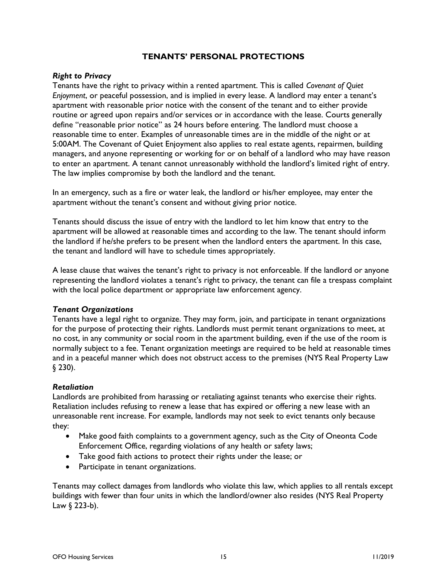## TENANTS' PERSONAL PROTECTIONS

#### Right to Privacy

Tenants have the right to privacy within a rented apartment. This is called Covenant of Quiet Enjoyment, or peaceful possession, and is implied in every lease. A landlord may enter a tenant's apartment with reasonable prior notice with the consent of the tenant and to either provide routine or agreed upon repairs and/or services or in accordance with the lease. Courts generally define "reasonable prior notice" as 24 hours before entering. The landlord must choose a reasonable time to enter. Examples of unreasonable times are in the middle of the night or at 5:00AM. The Covenant of Quiet Enjoyment also applies to real estate agents, repairmen, building managers, and anyone representing or working for or on behalf of a landlord who may have reason to enter an apartment. A tenant cannot unreasonably withhold the landlord's limited right of entry. The law implies compromise by both the landlord and the tenant.

In an emergency, such as a fire or water leak, the landlord or his/her employee, may enter the apartment without the tenant's consent and without giving prior notice.

Tenants should discuss the issue of entry with the landlord to let him know that entry to the apartment will be allowed at reasonable times and according to the law. The tenant should inform the landlord if he/she prefers to be present when the landlord enters the apartment. In this case, the tenant and landlord will have to schedule times appropriately.

A lease clause that waives the tenant's right to privacy is not enforceable. If the landlord or anyone representing the landlord violates a tenant's right to privacy, the tenant can file a trespass complaint with the local police department or appropriate law enforcement agency.

## Tenant Organizations

Tenants have a legal right to organize. They may form, join, and participate in tenant organizations for the purpose of protecting their rights. Landlords must permit tenant organizations to meet, at no cost, in any community or social room in the apartment building, even if the use of the room is normally subject to a fee. Tenant organization meetings are required to be held at reasonable times and in a peaceful manner which does not obstruct access to the premises (NYS Real Property Law § 230).

#### Retaliation

Landlords are prohibited from harassing or retaliating against tenants who exercise their rights. Retaliation includes refusing to renew a lease that has expired or offering a new lease with an unreasonable rent increase. For example, landlords may not seek to evict tenants only because they:

- Make good faith complaints to a government agency, such as the City of Oneonta Code Enforcement Office, regarding violations of any health or safety laws;
- Take good faith actions to protect their rights under the lease; or
- Participate in tenant organizations.

Tenants may collect damages from landlords who violate this law, which applies to all rentals except buildings with fewer than four units in which the landlord/owner also resides (NYS Real Property Law § 223-b).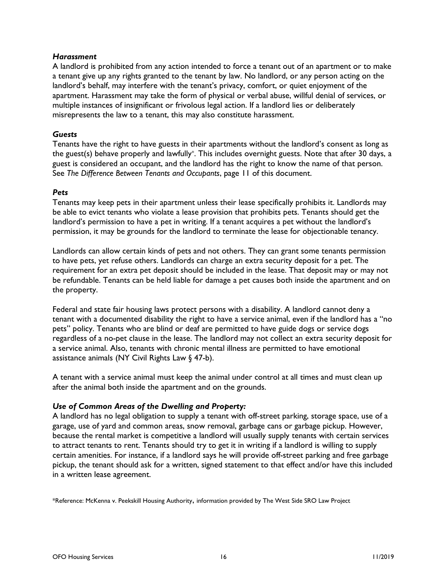#### **Harassment**

A landlord is prohibited from any action intended to force a tenant out of an apartment or to make a tenant give up any rights granted to the tenant by law. No landlord, or any person acting on the landlord's behalf, may interfere with the tenant's privacy, comfort, or quiet enjoyment of the apartment. Harassment may take the form of physical or verbal abuse, willful denial of services, or multiple instances of insignificant or frivolous legal action. If a landlord lies or deliberately misrepresents the law to a tenant, this may also constitute harassment.

## Guests

Tenants have the right to have guests in their apartments without the landlord's consent as long as the guest(s) behave properly and lawfully\* . This includes overnight guests. Note that after 30 days, a guest is considered an occupant, and the landlord has the right to know the name of that person. See The Difference Between Tenants and Occupants, page 11 of this document.

## Pets

Tenants may keep pets in their apartment unless their lease specifically prohibits it. Landlords may be able to evict tenants who violate a lease provision that prohibits pets. Tenants should get the landlord's permission to have a pet in writing. If a tenant acquires a pet without the landlord's permission, it may be grounds for the landlord to terminate the lease for objectionable tenancy.

Landlords can allow certain kinds of pets and not others. They can grant some tenants permission to have pets, yet refuse others. Landlords can charge an extra security deposit for a pet. The requirement for an extra pet deposit should be included in the lease. That deposit may or may not be refundable. Tenants can be held liable for damage a pet causes both inside the apartment and on the property.

Federal and state fair housing laws protect persons with a disability. A landlord cannot deny a tenant with a documented disability the right to have a service animal, even if the landlord has a "no pets" policy. Tenants who are blind or deaf are permitted to have guide dogs or service dogs regardless of a no-pet clause in the lease. The landlord may not collect an extra security deposit for a service animal. Also, tenants with chronic mental illness are permitted to have emotional assistance animals (NY Civil Rights Law § 47-b).

A tenant with a service animal must keep the animal under control at all times and must clean up after the animal both inside the apartment and on the grounds.

## Use of Common Areas of the Dwelling and Property:

A landlord has no legal obligation to supply a tenant with off-street parking, storage space, use of a garage, use of yard and common areas, snow removal, garbage cans or garbage pickup. However, because the rental market is competitive a landlord will usually supply tenants with certain services to attract tenants to rent. Tenants should try to get it in writing if a landlord is willing to supply certain amenities. For instance, if a landlord says he will provide off-street parking and free garbage pickup, the tenant should ask for a written, signed statement to that effect and/or have this included in a written lease agreement.

\*Reference: McKenna v. Peekskill Housing Authority, information provided by The West Side SRO Law Project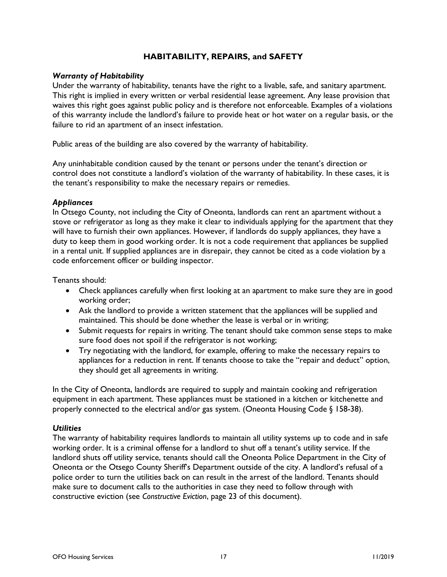## HABITABILITY, REPAIRS, and SAFETY

#### Warranty of Habitability

Under the warranty of habitability, tenants have the right to a livable, safe, and sanitary apartment. This right is implied in every written or verbal residential lease agreement. Any lease provision that waives this right goes against public policy and is therefore not enforceable. Examples of a violations of this warranty include the landlord's failure to provide heat or hot water on a regular basis, or the failure to rid an apartment of an insect infestation.

Public areas of the building are also covered by the warranty of habitability.

Any uninhabitable condition caused by the tenant or persons under the tenant's direction or control does not constitute a landlord's violation of the warranty of habitability. In these cases, it is the tenant's responsibility to make the necessary repairs or remedies.

## **Appliances**

In Otsego County, not including the City of Oneonta, landlords can rent an apartment without a stove or refrigerator as long as they make it clear to individuals applying for the apartment that they will have to furnish their own appliances. However, if landlords do supply appliances, they have a duty to keep them in good working order. It is not a code requirement that appliances be supplied in a rental unit. If supplied appliances are in disrepair, they cannot be cited as a code violation by a code enforcement officer or building inspector.

Tenants should:

- Check appliances carefully when first looking at an apartment to make sure they are in good working order;
- Ask the landlord to provide a written statement that the appliances will be supplied and maintained. This should be done whether the lease is verbal or in writing;
- Submit requests for repairs in writing. The tenant should take common sense steps to make sure food does not spoil if the refrigerator is not working;
- Try negotiating with the landlord, for example, offering to make the necessary repairs to appliances for a reduction in rent. If tenants choose to take the "repair and deduct" option, they should get all agreements in writing.

In the City of Oneonta, landlords are required to supply and maintain cooking and refrigeration equipment in each apartment. These appliances must be stationed in a kitchen or kitchenette and properly connected to the electrical and/or gas system. (Oneonta Housing Code § 158-38).

#### **Utilities**

The warranty of habitability requires landlords to maintain all utility systems up to code and in safe working order. It is a criminal offense for a landlord to shut off a tenant's utility service. If the landlord shuts off utility service, tenants should call the Oneonta Police Department in the City of Oneonta or the Otsego County Sheriff's Department outside of the city. A landlord's refusal of a police order to turn the utilities back on can result in the arrest of the landlord. Tenants should make sure to document calls to the authorities in case they need to follow through with constructive eviction (see Constructive Eviction, page 23 of this document).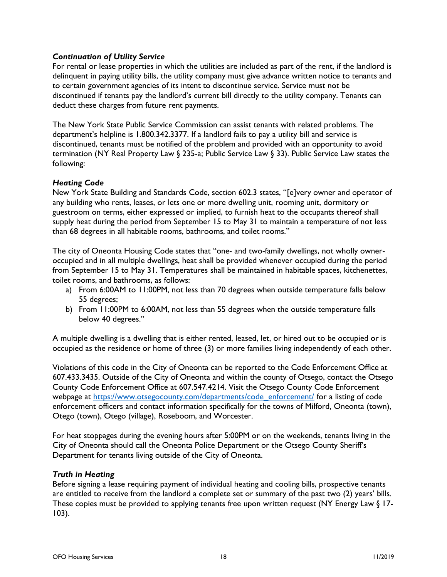## Continuation of Utility Service

For rental or lease properties in which the utilities are included as part of the rent, if the landlord is delinquent in paying utility bills, the utility company must give advance written notice to tenants and to certain government agencies of its intent to discontinue service. Service must not be discontinued if tenants pay the landlord's current bill directly to the utility company. Tenants can deduct these charges from future rent payments.

The New York State Public Service Commission can assist tenants with related problems. The department's helpline is 1.800.342.3377. If a landlord fails to pay a utility bill and service is discontinued, tenants must be notified of the problem and provided with an opportunity to avoid termination (NY Real Property Law § 235-a; Public Service Law § 33). Public Service Law states the following:

## Heating Code

New York State Building and Standards Code, section 602.3 states, "[e]very owner and operator of any building who rents, leases, or lets one or more dwelling unit, rooming unit, dormitory or guestroom on terms, either expressed or implied, to furnish heat to the occupants thereof shall supply heat during the period from September 15 to May 31 to maintain a temperature of not less than 68 degrees in all habitable rooms, bathrooms, and toilet rooms."

The city of Oneonta Housing Code states that "one- and two-family dwellings, not wholly owneroccupied and in all multiple dwellings, heat shall be provided whenever occupied during the period from September 15 to May 31. Temperatures shall be maintained in habitable spaces, kitchenettes, toilet rooms, and bathrooms, as follows:

- a) From 6:00AM to 11:00PM, not less than 70 degrees when outside temperature falls below 55 degrees;
- b) From 11:00PM to 6:00AM, not less than 55 degrees when the outside temperature falls below 40 degrees."

A multiple dwelling is a dwelling that is either rented, leased, let, or hired out to be occupied or is occupied as the residence or home of three (3) or more families living independently of each other.

Violations of this code in the City of Oneonta can be reported to the Code Enforcement Office at 607.433.3435. Outside of the City of Oneonta and within the county of Otsego, contact the Otsego County Code Enforcement Office at 607.547.4214. Visit the Otsego County Code Enforcement webpage at https://www.otsegocounty.com/departments/code\_enforcement/ for a listing of code enforcement officers and contact information specifically for the towns of Milford, Oneonta (town), Otego (town), Otego (village), Roseboom, and Worcester.

For heat stoppages during the evening hours after 5:00PM or on the weekends, tenants living in the City of Oneonta should call the Oneonta Police Department or the Otsego County Sheriff's Department for tenants living outside of the City of Oneonta.

## Truth in Heating

Before signing a lease requiring payment of individual heating and cooling bills, prospective tenants are entitled to receive from the landlord a complete set or summary of the past two (2) years' bills. These copies must be provided to applying tenants free upon written request (NY Energy Law  $\S$  17-103).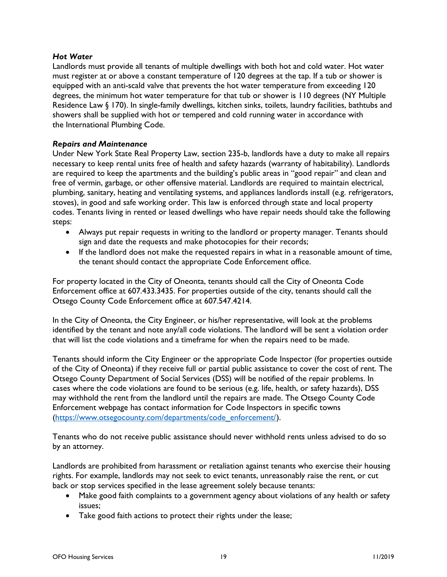## Hot Water

Landlords must provide all tenants of multiple dwellings with both hot and cold water. Hot water must register at or above a constant temperature of 120 degrees at the tap. If a tub or shower is equipped with an anti-scald valve that prevents the hot water temperature from exceeding 120 degrees, the minimum hot water temperature for that tub or shower is 110 degrees (NY Multiple Residence Law § 170). In single-family dwellings, kitchen sinks, toilets, laundry facilities, bathtubs and showers shall be supplied with hot or tempered and cold running water in accordance with the International Plumbing Code.

## Repairs and Maintenance

Under New York State Real Property Law, section 235-b, landlords have a duty to make all repairs necessary to keep rental units free of health and safety hazards (warranty of habitability). Landlords are required to keep the apartments and the building's public areas in "good repair" and clean and free of vermin, garbage, or other offensive material. Landlords are required to maintain electrical, plumbing, sanitary, heating and ventilating systems, and appliances landlords install (e.g. refrigerators, stoves), in good and safe working order. This law is enforced through state and local property codes. Tenants living in rented or leased dwellings who have repair needs should take the following steps:

- Always put repair requests in writing to the landlord or property manager. Tenants should sign and date the requests and make photocopies for their records;
- If the landlord does not make the requested repairs in what in a reasonable amount of time, the tenant should contact the appropriate Code Enforcement office.

For property located in the City of Oneonta, tenants should call the City of Oneonta Code Enforcement office at 607.433.3435. For properties outside of the city, tenants should call the Otsego County Code Enforcement office at 607.547.4214.

In the City of Oneonta, the City Engineer, or his/her representative, will look at the problems identified by the tenant and note any/all code violations. The landlord will be sent a violation order that will list the code violations and a timeframe for when the repairs need to be made.

Tenants should inform the City Engineer or the appropriate Code Inspector (for properties outside of the City of Oneonta) if they receive full or partial public assistance to cover the cost of rent. The Otsego County Department of Social Services (DSS) will be notified of the repair problems. In cases where the code violations are found to be serious (e.g. life, health, or safety hazards), DSS may withhold the rent from the landlord until the repairs are made. The Otsego County Code Enforcement webpage has contact information for Code Inspectors in specific towns (https://www.otsegocounty.com/departments/code\_enforcement/).

Tenants who do not receive public assistance should never withhold rents unless advised to do so by an attorney.

Landlords are prohibited from harassment or retaliation against tenants who exercise their housing rights. For example, landlords may not seek to evict tenants, unreasonably raise the rent, or cut back or stop services specified in the lease agreement solely because tenants:

- Make good faith complaints to a government agency about violations of any health or safety issues;
- Take good faith actions to protect their rights under the lease;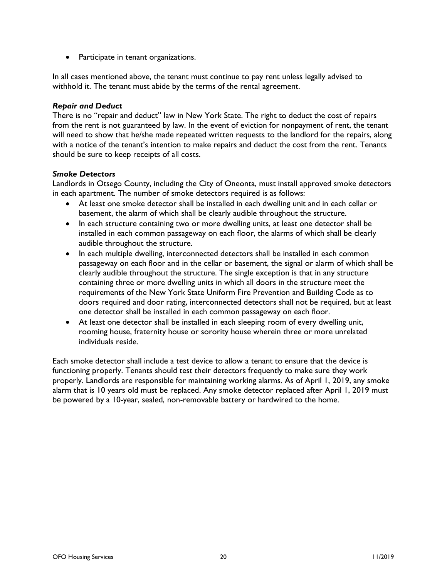• Participate in tenant organizations.

In all cases mentioned above, the tenant must continue to pay rent unless legally advised to withhold it. The tenant must abide by the terms of the rental agreement.

#### Repair and Deduct

There is no "repair and deduct" law in New York State. The right to deduct the cost of repairs from the rent is not guaranteed by law. In the event of eviction for nonpayment of rent, the tenant will need to show that he/she made repeated written requests to the landlord for the repairs, along with a notice of the tenant's intention to make repairs and deduct the cost from the rent. Tenants should be sure to keep receipts of all costs.

## Smoke Detectors

Landlords in Otsego County, including the City of Oneonta, must install approved smoke detectors in each apartment. The number of smoke detectors required is as follows:

- At least one smoke detector shall be installed in each dwelling unit and in each cellar or basement, the alarm of which shall be clearly audible throughout the structure.
- In each structure containing two or more dwelling units, at least one detector shall be installed in each common passageway on each floor, the alarms of which shall be clearly audible throughout the structure.
- In each multiple dwelling, interconnected detectors shall be installed in each common passageway on each floor and in the cellar or basement, the signal or alarm of which shall be clearly audible throughout the structure. The single exception is that in any structure containing three or more dwelling units in which all doors in the structure meet the requirements of the New York State Uniform Fire Prevention and Building Code as to doors required and door rating, interconnected detectors shall not be required, but at least one detector shall be installed in each common passageway on each floor.
- At least one detector shall be installed in each sleeping room of every dwelling unit, rooming house, fraternity house or sorority house wherein three or more unrelated individuals reside.

Each smoke detector shall include a test device to allow a tenant to ensure that the device is functioning properly. Tenants should test their detectors frequently to make sure they work properly. Landlords are responsible for maintaining working alarms. As of April 1, 2019, any smoke alarm that is 10 years old must be replaced. Any smoke detector replaced after April 1, 2019 must be powered by a 10-year, sealed, non-removable battery or hardwired to the home.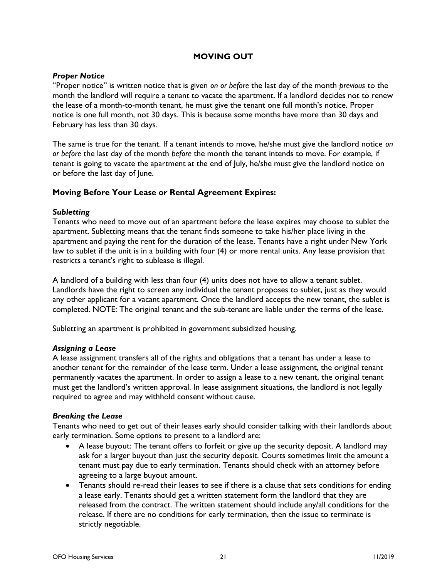## MOVING OUT

## Proper Notice

"Proper notice" is written notice that is given on or before the last day of the month previous to the month the landlord will require a tenant to vacate the apartment. If a landlord decides not to renew the lease of a month-to-month tenant, he must give the tenant one full month's notice. Proper notice is one full month, not 30 days. This is because some months have more than 30 days and February has less than 30 days.

The same is true for the tenant. If a tenant intends to move, he/she must give the landlord notice on or before the last day of the month before the month the tenant intends to move. For example, if tenant is going to vacate the apartment at the end of July, he/she must give the landlord notice on or before the last day of June.

## Moving Before Your Lease or Rental Agreement Expires:

## **Subletting**

Tenants who need to move out of an apartment before the lease expires may choose to sublet the apartment. Subletting means that the tenant finds someone to take his/her place living in the apartment and paying the rent for the duration of the lease. Tenants have a right under New York law to sublet if the unit is in a building with four (4) or more rental units. Any lease provision that restricts a tenant's right to sublease is illegal.

A landlord of a building with less than four (4) units does not have to allow a tenant sublet. Landlords have the right to screen any individual the tenant proposes to sublet, just as they would any other applicant for a vacant apartment. Once the landlord accepts the new tenant, the sublet is completed. NOTE: The original tenant and the sub-tenant are liable under the terms of the lease.

Subletting an apartment is prohibited in government subsidized housing.

#### Assigning a Lease

A lease assignment transfers all of the rights and obligations that a tenant has under a lease to another tenant for the remainder of the lease term. Under a lease assignment, the original tenant permanently vacates the apartment. In order to assign a lease to a new tenant, the original tenant must get the landlord's written approval. In lease assignment situations, the landlord is not legally required to agree and may withhold consent without cause.

#### Breaking the Lease

Tenants who need to get out of their leases early should consider talking with their landlords about early termination. Some options to present to a landlord are:

- A lease buyout: The tenant offers to forfeit or give up the security deposit. A landlord may ask for a larger buyout than just the security deposit. Courts sometimes limit the amount a tenant must pay due to early termination. Tenants should check with an attorney before agreeing to a large buyout amount.
- Tenants should re-read their leases to see if there is a clause that sets conditions for ending a lease early. Tenants should get a written statement form the landlord that they are released from the contract. The written statement should include any/all conditions for the release. If there are no conditions for early termination, then the issue to terminate is strictly negotiable.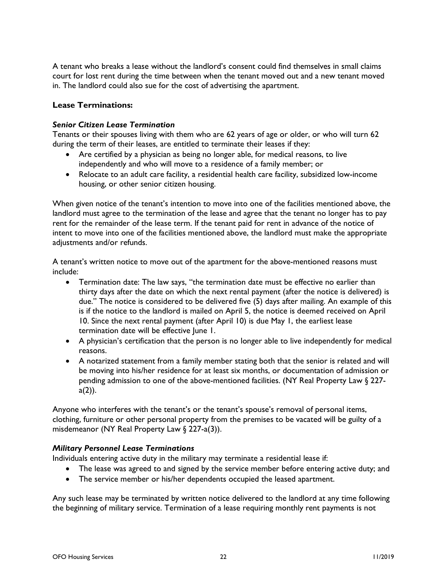A tenant who breaks a lease without the landlord's consent could find themselves in small claims court for lost rent during the time between when the tenant moved out and a new tenant moved in. The landlord could also sue for the cost of advertising the apartment.

## Lease Terminations:

## Senior Citizen Lease Termination

Tenants or their spouses living with them who are 62 years of age or older, or who will turn 62 during the term of their leases, are entitled to terminate their leases if they:

- Are certified by a physician as being no longer able, for medical reasons, to live independently and who will move to a residence of a family member; or
- Relocate to an adult care facility, a residential health care facility, subsidized low-income housing, or other senior citizen housing.

When given notice of the tenant's intention to move into one of the facilities mentioned above, the landlord must agree to the termination of the lease and agree that the tenant no longer has to pay rent for the remainder of the lease term. If the tenant paid for rent in advance of the notice of intent to move into one of the facilities mentioned above, the landlord must make the appropriate adjustments and/or refunds.

A tenant's written notice to move out of the apartment for the above-mentioned reasons must include:

- Termination date: The law says, "the termination date must be effective no earlier than thirty days after the date on which the next rental payment (after the notice is delivered) is due." The notice is considered to be delivered five (5) days after mailing. An example of this is if the notice to the landlord is mailed on April 5, the notice is deemed received on April 10. Since the next rental payment (after April 10) is due May 1, the earliest lease termination date will be effective June 1.
- A physician's certification that the person is no longer able to live independently for medical reasons.
- A notarized statement from a family member stating both that the senior is related and will be moving into his/her residence for at least six months, or documentation of admission or pending admission to one of the above-mentioned facilities. (NY Real Property Law § 227  $a(2)$ ).

Anyone who interferes with the tenant's or the tenant's spouse's removal of personal items, clothing, furniture or other personal property from the premises to be vacated will be guilty of a misdemeanor (NY Real Property Law § 227-a(3)).

#### Military Personnel Lease Terminations

Individuals entering active duty in the military may terminate a residential lease if:

- The lease was agreed to and signed by the service member before entering active duty; and
- The service member or his/her dependents occupied the leased apartment.

Any such lease may be terminated by written notice delivered to the landlord at any time following the beginning of military service. Termination of a lease requiring monthly rent payments is not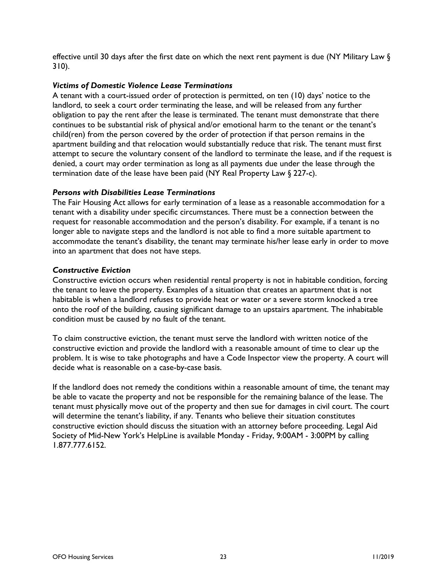effective until 30 days after the first date on which the next rent payment is due (NY Military Law § 310).

## Victims of Domestic Violence Lease Terminations

A tenant with a court-issued order of protection is permitted, on ten (10) days' notice to the landlord, to seek a court order terminating the lease, and will be released from any further obligation to pay the rent after the lease is terminated. The tenant must demonstrate that there continues to be substantial risk of physical and/or emotional harm to the tenant or the tenant's child(ren) from the person covered by the order of protection if that person remains in the apartment building and that relocation would substantially reduce that risk. The tenant must first attempt to secure the voluntary consent of the landlord to terminate the lease, and if the request is denied, a court may order termination as long as all payments due under the lease through the termination date of the lease have been paid (NY Real Property Law § 227-c).

#### Persons with Disabilities Lease Terminations

The Fair Housing Act allows for early termination of a lease as a reasonable accommodation for a tenant with a disability under specific circumstances. There must be a connection between the request for reasonable accommodation and the person's disability. For example, if a tenant is no longer able to navigate steps and the landlord is not able to find a more suitable apartment to accommodate the tenant's disability, the tenant may terminate his/her lease early in order to move into an apartment that does not have steps.

## Constructive Eviction

Constructive eviction occurs when residential rental property is not in habitable condition, forcing the tenant to leave the property. Examples of a situation that creates an apartment that is not habitable is when a landlord refuses to provide heat or water or a severe storm knocked a tree onto the roof of the building, causing significant damage to an upstairs apartment. The inhabitable condition must be caused by no fault of the tenant.

To claim constructive eviction, the tenant must serve the landlord with written notice of the constructive eviction and provide the landlord with a reasonable amount of time to clear up the problem. It is wise to take photographs and have a Code Inspector view the property. A court will decide what is reasonable on a case-by-case basis.

If the landlord does not remedy the conditions within a reasonable amount of time, the tenant may be able to vacate the property and not be responsible for the remaining balance of the lease. The tenant must physically move out of the property and then sue for damages in civil court. The court will determine the tenant's liability, if any. Tenants who believe their situation constitutes constructive eviction should discuss the situation with an attorney before proceeding. Legal Aid Society of Mid-New York's HelpLine is available Monday - Friday, 9:00AM - 3:00PM by calling 1.877.777.6152.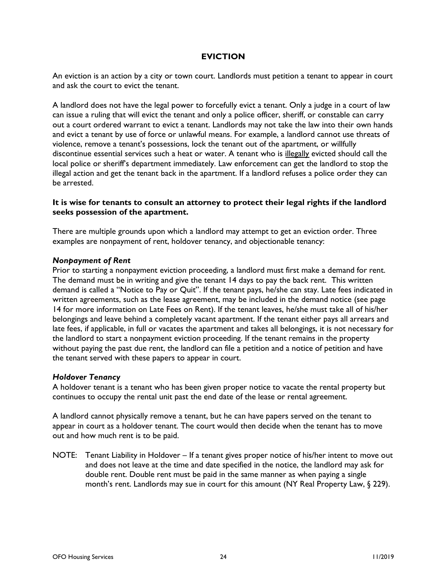## EVICTION

An eviction is an action by a city or town court. Landlords must petition a tenant to appear in court and ask the court to evict the tenant.

A landlord does not have the legal power to forcefully evict a tenant. Only a judge in a court of law can issue a ruling that will evict the tenant and only a police officer, sheriff, or constable can carry out a court ordered warrant to evict a tenant. Landlords may not take the law into their own hands and evict a tenant by use of force or unlawful means. For example, a landlord cannot use threats of violence, remove a tenant's possessions, lock the tenant out of the apartment, or willfully discontinue essential services such a heat or water. A tenant who is illegally evicted should call the local police or sheriff's department immediately. Law enforcement can get the landlord to stop the illegal action and get the tenant back in the apartment. If a landlord refuses a police order they can be arrested.

## It is wise for tenants to consult an attorney to protect their legal rights if the landlord seeks possession of the apartment.

There are multiple grounds upon which a landlord may attempt to get an eviction order. Three examples are nonpayment of rent, holdover tenancy, and objectionable tenancy:

## Nonpayment of Rent

Prior to starting a nonpayment eviction proceeding, a landlord must first make a demand for rent. The demand must be in writing and give the tenant 14 days to pay the back rent. This written demand is called a "Notice to Pay or Quit". If the tenant pays, he/she can stay. Late fees indicated in written agreements, such as the lease agreement, may be included in the demand notice (see page 14 for more information on Late Fees on Rent). If the tenant leaves, he/she must take all of his/her belongings and leave behind a completely vacant apartment. If the tenant either pays all arrears and late fees, if applicable, in full or vacates the apartment and takes all belongings, it is not necessary for the landlord to start a nonpayment eviction proceeding. If the tenant remains in the property without paying the past due rent, the landlord can file a petition and a notice of petition and have the tenant served with these papers to appear in court.

#### Holdover Tenancy

A holdover tenant is a tenant who has been given proper notice to vacate the rental property but continues to occupy the rental unit past the end date of the lease or rental agreement.

A landlord cannot physically remove a tenant, but he can have papers served on the tenant to appear in court as a holdover tenant. The court would then decide when the tenant has to move out and how much rent is to be paid.

NOTE: Tenant Liability in Holdover – If a tenant gives proper notice of his/her intent to move out and does not leave at the time and date specified in the notice, the landlord may ask for double rent. Double rent must be paid in the same manner as when paying a single month's rent. Landlords may sue in court for this amount (NY Real Property Law, § 229).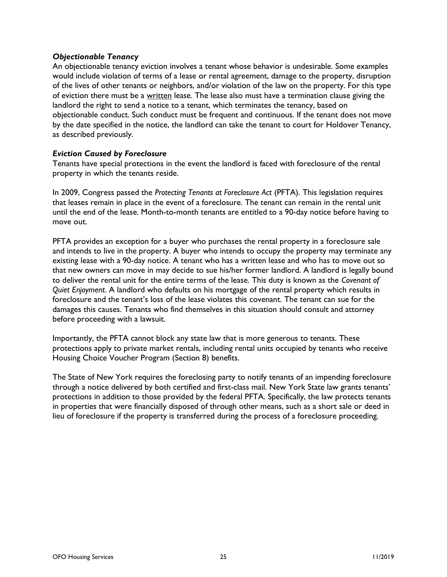## Objectionable Tenancy

An objectionable tenancy eviction involves a tenant whose behavior is undesirable. Some examples would include violation of terms of a lease or rental agreement, damage to the property, disruption of the lives of other tenants or neighbors, and/or violation of the law on the property. For this type of eviction there must be a written lease. The lease also must have a termination clause giving the landlord the right to send a notice to a tenant, which terminates the tenancy, based on objectionable conduct. Such conduct must be frequent and continuous. If the tenant does not move by the date specified in the notice, the landlord can take the tenant to court for Holdover Tenancy, as described previously.

## Eviction Caused by Foreclosure

Tenants have special protections in the event the landlord is faced with foreclosure of the rental property in which the tenants reside.

In 2009, Congress passed the Protecting Tenants at Foreclosure Act (PFTA). This legislation requires that leases remain in place in the event of a foreclosure. The tenant can remain in the rental unit until the end of the lease. Month-to-month tenants are entitled to a 90-day notice before having to move out.

PFTA provides an exception for a buyer who purchases the rental property in a foreclosure sale and intends to live in the property. A buyer who intends to occupy the property may terminate any existing lease with a 90-day notice. A tenant who has a written lease and who has to move out so that new owners can move in may decide to sue his/her former landlord. A landlord is legally bound to deliver the rental unit for the entire terms of the lease. This duty is known as the Covenant of Quiet Enjoyment. A landlord who defaults on his mortgage of the rental property which results in foreclosure and the tenant's loss of the lease violates this covenant. The tenant can sue for the damages this causes. Tenants who find themselves in this situation should consult and attorney before proceeding with a lawsuit.

Importantly, the PFTA cannot block any state law that is more generous to tenants. These protections apply to private market rentals, including rental units occupied by tenants who receive Housing Choice Voucher Program (Section 8) benefits.

The State of New York requires the foreclosing party to notify tenants of an impending foreclosure through a notice delivered by both certified and first-class mail. New York State law grants tenants' protections in addition to those provided by the federal PFTA. Specifically, the law protects tenants in properties that were financially disposed of through other means, such as a short sale or deed in lieu of foreclosure if the property is transferred during the process of a foreclosure proceeding.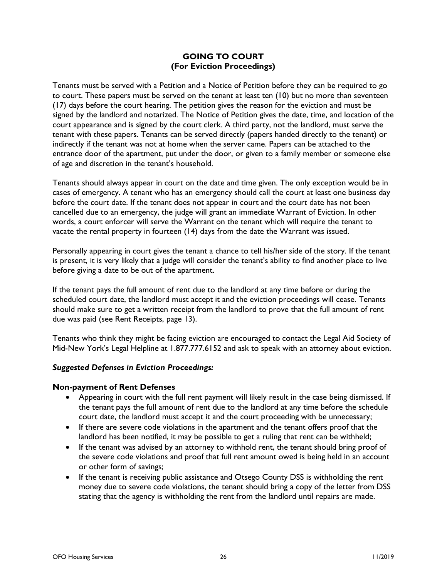## GOING TO COURT (For Eviction Proceedings)

Tenants must be served with a Petition and a Notice of Petition before they can be required to go to court. These papers must be served on the tenant at least ten (10) but no more than seventeen (17) days before the court hearing. The petition gives the reason for the eviction and must be signed by the landlord and notarized. The Notice of Petition gives the date, time, and location of the court appearance and is signed by the court clerk. A third party, not the landlord, must serve the tenant with these papers. Tenants can be served directly (papers handed directly to the tenant) or indirectly if the tenant was not at home when the server came. Papers can be attached to the entrance door of the apartment, put under the door, or given to a family member or someone else of age and discretion in the tenant's household.

Tenants should always appear in court on the date and time given. The only exception would be in cases of emergency. A tenant who has an emergency should call the court at least one business day before the court date. If the tenant does not appear in court and the court date has not been cancelled due to an emergency, the judge will grant an immediate Warrant of Eviction. In other words, a court enforcer will serve the Warrant on the tenant which will require the tenant to vacate the rental property in fourteen (14) days from the date the Warrant was issued.

Personally appearing in court gives the tenant a chance to tell his/her side of the story. If the tenant is present, it is very likely that a judge will consider the tenant's ability to find another place to live before giving a date to be out of the apartment.

If the tenant pays the full amount of rent due to the landlord at any time before or during the scheduled court date, the landlord must accept it and the eviction proceedings will cease. Tenants should make sure to get a written receipt from the landlord to prove that the full amount of rent due was paid (see Rent Receipts, page 13).

Tenants who think they might be facing eviction are encouraged to contact the Legal Aid Society of Mid-New York's Legal Helpline at 1.877.777.6152 and ask to speak with an attorney about eviction.

## Suggested Defenses in Eviction Proceedings:

## Non-payment of Rent Defenses

- Appearing in court with the full rent payment will likely result in the case being dismissed. If the tenant pays the full amount of rent due to the landlord at any time before the schedule court date, the landlord must accept it and the court proceeding with be unnecessary;
- If there are severe code violations in the apartment and the tenant offers proof that the landlord has been notified, it may be possible to get a ruling that rent can be withheld;
- If the tenant was advised by an attorney to withhold rent, the tenant should bring proof of the severe code violations and proof that full rent amount owed is being held in an account or other form of savings;
- If the tenant is receiving public assistance and Otsego County DSS is withholding the rent money due to severe code violations, the tenant should bring a copy of the letter from DSS stating that the agency is withholding the rent from the landlord until repairs are made.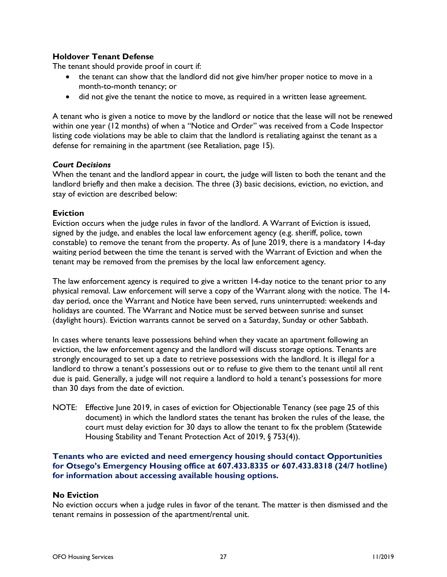## Holdover Tenant Defense

The tenant should provide proof in court if:

- the tenant can show that the landlord did not give him/her proper notice to move in a month-to-month tenancy; or
- did not give the tenant the notice to move, as required in a written lease agreement.

A tenant who is given a notice to move by the landlord or notice that the lease will not be renewed within one year (12 months) of when a "Notice and Order" was received from a Code Inspector listing code violations may be able to claim that the landlord is retaliating against the tenant as a defense for remaining in the apartment (see Retaliation, page 15).

## Court Decisions

When the tenant and the landlord appear in court, the judge will listen to both the tenant and the landlord briefly and then make a decision. The three (3) basic decisions, eviction, no eviction, and stay of eviction are described below:

## Eviction

Eviction occurs when the judge rules in favor of the landlord. A Warrant of Eviction is issued, signed by the judge, and enables the local law enforcement agency (e.g. sheriff, police, town constable) to remove the tenant from the property. As of June 2019, there is a mandatory 14-day waiting period between the time the tenant is served with the Warrant of Eviction and when the tenant may be removed from the premises by the local law enforcement agency.

The law enforcement agency is required to give a written 14-day notice to the tenant prior to any physical removal. Law enforcement will serve a copy of the Warrant along with the notice. The 14 day period, once the Warrant and Notice have been served, runs uninterrupted: weekends and holidays are counted. The Warrant and Notice must be served between sunrise and sunset (daylight hours). Eviction warrants cannot be served on a Saturday, Sunday or other Sabbath.

In cases where tenants leave possessions behind when they vacate an apartment following an eviction, the law enforcement agency and the landlord will discuss storage options. Tenants are strongly encouraged to set up a date to retrieve possessions with the landlord. It is illegal for a landlord to throw a tenant's possessions out or to refuse to give them to the tenant until all rent due is paid. Generally, a judge will not require a landlord to hold a tenant's possessions for more than 30 days from the date of eviction.

NOTE: Effective June 2019, in cases of eviction for Objectionable Tenancy (see page 25 of this document) in which the landlord states the tenant has broken the rules of the lease, the court must delay eviction for 30 days to allow the tenant to fix the problem (Statewide Housing Stability and Tenant Protection Act of 2019, § 753(4)).

## Tenants who are evicted and need emergency housing should contact Opportunities for Otsego's Emergency Housing office at 607.433.8335 or 607.433.8318 (24/7 hotline) for information about accessing available housing options.

## No Eviction

No eviction occurs when a judge rules in favor of the tenant. The matter is then dismissed and the tenant remains in possession of the apartment/rental unit.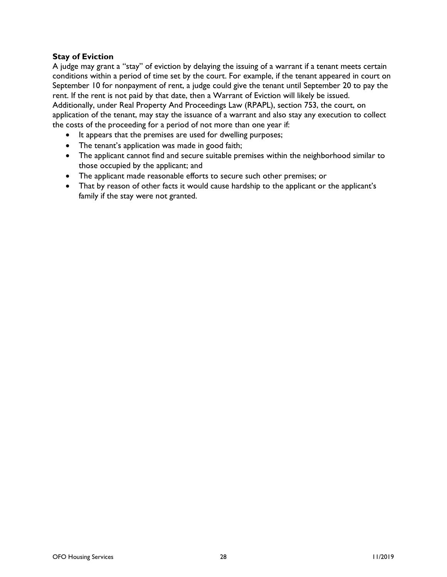## Stay of Eviction

A judge may grant a "stay" of eviction by delaying the issuing of a warrant if a tenant meets certain conditions within a period of time set by the court. For example, if the tenant appeared in court on September 10 for nonpayment of rent, a judge could give the tenant until September 20 to pay the rent. If the rent is not paid by that date, then a Warrant of Eviction will likely be issued.

Additionally, under Real Property And Proceedings Law (RPAPL), section 753, the court, on application of the tenant, may stay the issuance of a warrant and also stay any execution to collect the costs of the proceeding for a period of not more than one year if:

- It appears that the premises are used for dwelling purposes;
- The tenant's application was made in good faith;
- The applicant cannot find and secure suitable premises within the neighborhood similar to those occupied by the applicant; and
- The applicant made reasonable efforts to secure such other premises; or
- That by reason of other facts it would cause hardship to the applicant or the applicant's family if the stay were not granted.